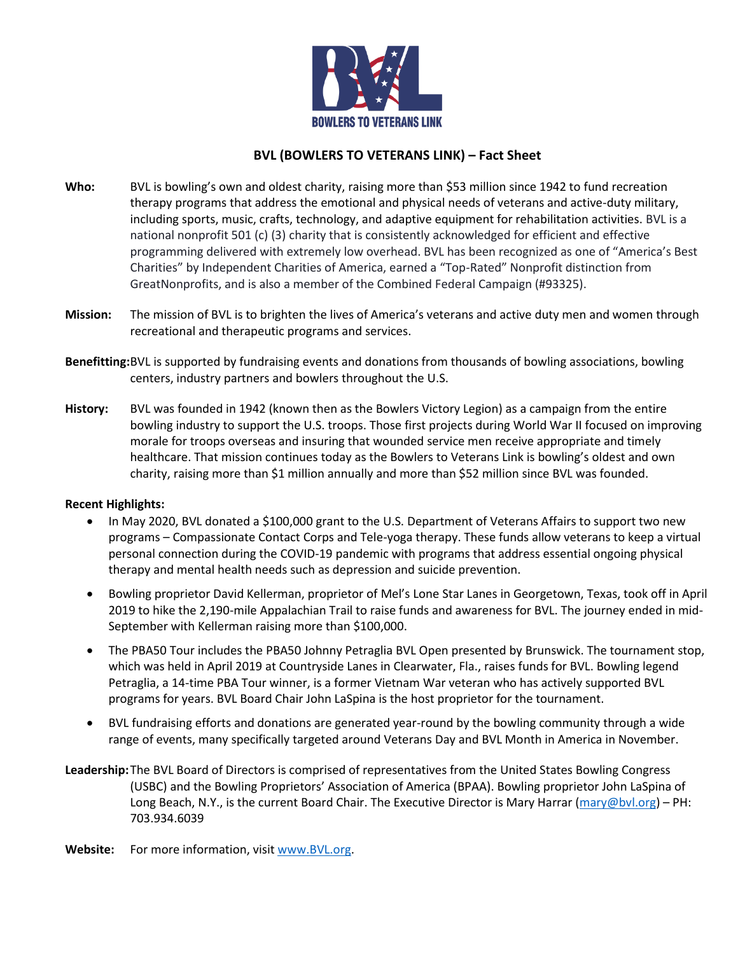

# **BVL (BOWLERS TO VETERANS LINK) – Fact Sheet**

- **Who:** BVL is bowling's own and oldest charity, raising more than \$53 million since 1942 to fund recreation therapy programs that address the emotional and physical needs of veterans and active-duty military, including sports, music, crafts, technology, and adaptive equipment for rehabilitation activities. BVL is a national nonprofit 501 (c) (3) charity that is consistently acknowledged for efficient and effective programming delivered with extremely low overhead. BVL has been recognized as one of "America's Best Charities" by Independent Charities of America, earned a "Top-Rated" Nonprofit distinction from GreatNonprofits, and is also a member of the Combined Federal Campaign (#93325).
- **Mission:** The mission of BVL is to brighten the lives of America's veterans and active duty men and women through recreational and therapeutic programs and services.
- **Benefitting:**BVL is supported by fundraising events and donations from thousands of bowling associations, bowling centers, industry partners and bowlers throughout the U.S.
- **History:** BVL was founded in 1942 (known then as the Bowlers Victory Legion) as a campaign from the entire bowling industry to support the U.S. troops. Those first projects during World War II focused on improving morale for troops overseas and insuring that wounded service men receive appropriate and timely healthcare. That mission continues today as the Bowlers to Veterans Link is bowling's oldest and own charity, raising more than \$1 million annually and more than \$52 million since BVL was founded.

# **Recent Highlights:**

- In May 2020, BVL donated a \$100,000 grant to the U.S. Department of Veterans Affairs to support two new programs – Compassionate Contact Corps and Tele-yoga therapy. These funds allow veterans to keep a virtual personal connection during the COVID-19 pandemic with programs that address essential ongoing physical therapy and mental health needs such as depression and suicide prevention.
- Bowling proprietor David Kellerman, proprietor of Mel's Lone Star Lanes in Georgetown, Texas, took off in April 2019 to hike the 2,190-mile Appalachian Trail to raise funds and awareness for BVL. The journey ended in mid-September with Kellerman raising more than \$100,000.
- The PBA50 Tour includes the PBA50 Johnny Petraglia BVL Open presented by Brunswick. The tournament stop, which was held in April 2019 at Countryside Lanes in Clearwater, Fla., raises funds for BVL. Bowling legend Petraglia, a 14-time PBA Tour winner, is a former Vietnam War veteran who has actively supported BVL programs for years. BVL Board Chair John LaSpina is the host proprietor for the tournament.
- BVL fundraising efforts and donations are generated year-round by the bowling community through a wide range of events, many specifically targeted around Veterans Day and BVL Month in America in November.
- **Leadership:**The BVL Board of Directors is comprised of representatives from the United States Bowling Congress (USBC) and the Bowling Proprietors' Association of America (BPAA). Bowling proprietor John LaSpina of Long Beach, N.Y., is the current Board Chair. The Executive Director is Mary Harrar [\(mary@bvl.org\)](mailto:mary@bvl.org) – PH: 703.934.6039

**Website:** For more information, visi[t www.BVL.org.](http://www.bvl.org/)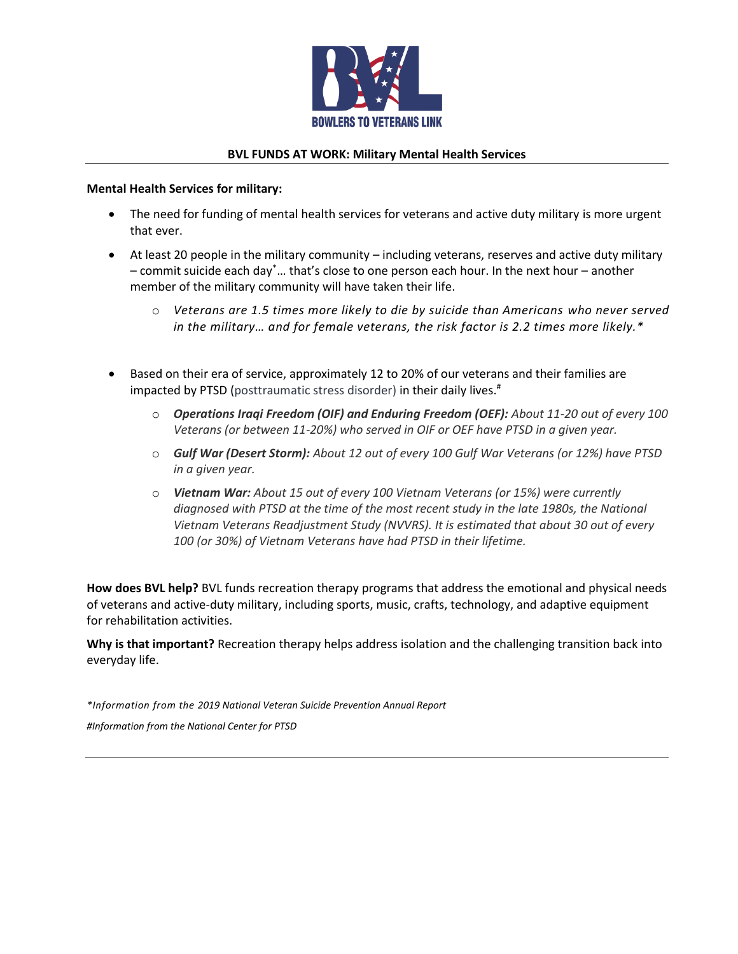

### **BVL FUNDS AT WORK: Military Mental Health Services**

#### **Mental Health Services for military:**

- The need for funding of mental health services for veterans and active duty military is more urgent that ever.
- At least 20 people in the military community including veterans, reserves and active duty military – commit suicide each day\*… that's close to one person each hour. In the next hour – another member of the military community will have taken their life.
	- o *Veterans are 1.5 times more likely to die by suicide than Americans who never served in the military… and for female veterans, the risk factor is 2.2 times more likely.\**
- Based on their era of service, approximately 12 to 20% of our veterans and their families are impacted by PTSD (posttraumatic stress disorder) in their daily lives.<sup>#</sup>
	- o *Operations Iraqi Freedom (OIF) and Enduring Freedom (OEF): About 11-20 out of every 100 Veterans (or between 11-20%) who served in OIF or OEF have PTSD in a given year.*
	- o *Gulf War (Desert Storm): About 12 out of every 100 Gulf War Veterans (or 12%) have PTSD in a given year.*
	- o *Vietnam War: About 15 out of every 100 Vietnam Veterans (or 15%) were currently diagnosed with PTSD at the time of the most recent study in the late 1980s, the National Vietnam Veterans Readjustment Study (NVVRS). It is estimated that about 30 out of every 100 (or 30%) of Vietnam Veterans have had PTSD in their lifetime.*

**How does BVL help?** BVL funds recreation therapy programs that address the emotional and physical needs of veterans and active-duty military, including sports, music, crafts, technology, and adaptive equipment for rehabilitation activities.

**Why is that important?** Recreation therapy helps address isolation and the challenging transition back into everyday life.

*\*Information from the 2019 National Veteran Suicide Prevention Annual Report #Information from the National Center for PTSD*